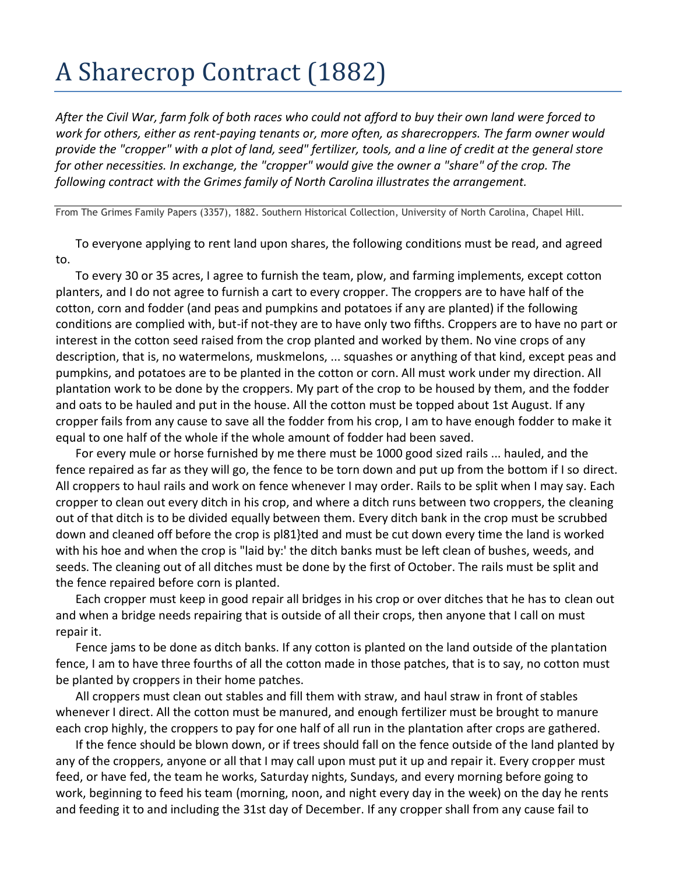## A Sharecrop Contract (1882)

*After the Civil War, farm folk of both races who could not afford to buy their own land were forced to work for others, either as rent-paying tenants or, more often, as sharecroppers. The farm owner would provide the "cropper" with a plot of land, seed" fertilizer, tools, and a line of credit at the general store for other necessities. In exchange, the "cropper" would give the owner a "share" of the crop. The following contract with the Grimes family of North Carolina illustrates the arrangement.* 

From The Grimes Family Papers (3357), 1882. Southern Historical Collection, University of North Carolina, Chapel Hill.

To everyone applying to rent land upon shares, the following conditions must be read, and agreed to.

To every 30 or 35 acres, I agree to furnish the team, plow, and farming implements, except cotton planters, and I do not agree to furnish a cart to every cropper. The croppers are to have half of the cotton, corn and fodder (and peas and pumpkins and potatoes if any are planted) if the following conditions are complied with, but-if not-they are to have only two fifths. Croppers are to have no part or interest in the cotton seed raised from the crop planted and worked by them. No vine crops of any description, that is, no watermelons, muskmelons, ... squashes or anything of that kind, except peas and pumpkins, and potatoes are to be planted in the cotton or corn. All must work under my direction. All plantation work to be done by the croppers. My part of the crop to be housed by them, and the fodder and oats to be hauled and put in the house. All the cotton must be topped about 1st August. If any cropper fails from any cause to save all the fodder from his crop, I am to have enough fodder to make it equal to one half of the whole if the whole amount of fodder had been saved.

For every mule or horse furnished by me there must be 1000 good sized rails ... hauled, and the fence repaired as far as they will go, the fence to be torn down and put up from the bottom if I so direct. All croppers to haul rails and work on fence whenever I may order. Rails to be split when I may say. Each cropper to clean out every ditch in his crop, and where a ditch runs between two croppers, the cleaning out of that ditch is to be divided equally between them. Every ditch bank in the crop must be scrubbed down and cleaned off before the crop is pl81}ted and must be cut down every time the land is worked with his hoe and when the crop is "laid by:' the ditch banks must be left clean of bushes, weeds, and seeds. The cleaning out of all ditches must be done by the first of October. The rails must be split and the fence repaired before corn is planted.

Each cropper must keep in good repair all bridges in his crop or over ditches that he has to clean out and when a bridge needs repairing that is outside of all their crops, then anyone that I call on must repair it.

Fence jams to be done as ditch banks. If any cotton is planted on the land outside of the plantation fence, I am to have three fourths of all the cotton made in those patches, that is to say, no cotton must be planted by croppers in their home patches.

All croppers must clean out stables and fill them with straw, and haul straw in front of stables whenever I direct. All the cotton must be manured, and enough fertilizer must be brought to manure each crop highly, the croppers to pay for one half of all run in the plantation after crops are gathered.

If the fence should be blown down, or if trees should fall on the fence outside of the land planted by any of the croppers, anyone or all that I may call upon must put it up and repair it. Every cropper must feed, or have fed, the team he works, Saturday nights, Sundays, and every morning before going to work, beginning to feed his team (morning, noon, and night every day in the week) on the day he rents and feeding it to and including the 31st day of December. If any cropper shall from any cause fail to